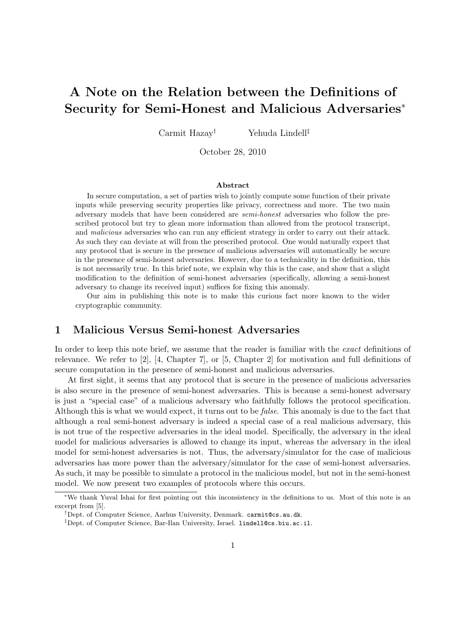## **A Note on the Relation between the Definitions of Security for Semi-Honest and Malicious Adversaries***<sup>∗</sup>*

Carmit Hazay*†* Yehuda Lindell*‡*

October 28, 2010

## **Abstract**

In secure computation, a set of parties wish to jointly compute some function of their private inputs while preserving security properties like privacy, correctness and more. The two main adversary models that have been considered are *semi-honest* adversaries who follow the prescribed protocol but try to glean more information than allowed from the protocol transcript, and *malicious* adversaries who can run any efficient strategy in order to carry out their attack. As such they can deviate at will from the prescribed protocol. One would naturally expect that any protocol that is secure in the presence of malicious adversaries will automatically be secure in the presence of semi-honest adversaries. However, due to a technicality in the definition, this is not necessarily true. In this brief note, we explain why this is the case, and show that a slight modification to the definition of semi-honest adversaries (specifically, allowing a semi-honest adversary to change its received input) suffices for fixing this anomaly.

Our aim in publishing this note is to make this curious fact more known to the wider cryptographic community.

## **1 Malicious Versus Semi-honest Adversaries**

In order to keep this note brief, we assume that the reader is familiar with the *exact* definitions of relevance. We refer to [2], [4, Chapter 7], or [5, Chapter 2] for motivation and full definitions of secure computation in the presence of semi-honest and malicious adversaries.

At first sight, it seems that any protocol that is secure in the presence of malicious adversaries is also secure in the presence of semi-honest adversaries. This is because a semi-honest adversary is just a "special case" of a malicious adversary who faithfully follows the protocol specification. Although this is what we would expect, it turns out to be *false*. This anomaly is due to the fact that although a real semi-honest adversary is indeed a special case of a real malicious adversary, this is not true of the respective adversaries in the ideal model. Specifically, the adversary in the ideal model for malicious adversaries is allowed to change its input, whereas the adversary in the ideal model for semi-honest adversaries is not. Thus, the adversary/simulator for the case of malicious adversaries has more power than the adversary/simulator for the case of semi-honest adversaries. As such, it may be possible to simulate a protocol in the malicious model, but not in the semi-honest model. We now present two examples of protocols where this occurs.

*<sup>∗</sup>*We thank Yuval Ishai for first pointing out this inconsistency in the definitions to us. Most of this note is an excerpt from [5].

*<sup>†</sup>*Dept. of Computer Science, Aarhus University, Denmark. carmit@cs.au.dk.

*<sup>‡</sup>*Dept. of Computer Science, Bar-Ilan University, Israel. lindell@cs.biu.ac.il.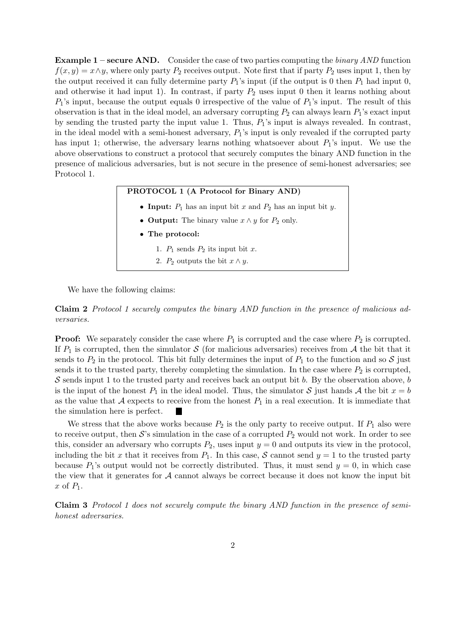**Example 1 – secure AND.** Consider the case of two parties computing the *binary AND* function  $f(x, y) = x \land y$ , where only party  $P_2$  receives output. Note first that if party  $P_2$  uses input 1, then by the output received it can fully determine party  $P_1$ 's input (if the output is 0 then  $P_1$  had input 0, and otherwise it had input 1). In contrast, if party  $P_2$  uses input 0 then it learns nothing about *P*1's input, because the output equals 0 irrespective of the value of *P*1's input. The result of this observation is that in the ideal model, an adversary corrupting  $P_2$  can always learn  $P_1$ 's exact input by sending the trusted party the input value 1. Thus, *P*1's input is always revealed. In contrast, in the ideal model with a semi-honest adversary, *P*1's input is only revealed if the corrupted party has input 1; otherwise, the adversary learns nothing whatsoever about  $P_1$ 's input. We use the above observations to construct a protocol that securely computes the binary AND function in the presence of malicious adversaries, but is not secure in the presence of semi-honest adversaries; see Protocol 1.

| PROTOCOL 1 (A Protocol for Binary AND)                          |
|-----------------------------------------------------------------|
| • Input: $P_1$ has an input bit x and $P_2$ has an input bit y. |
| • <b>Output:</b> The binary value $x \wedge y$ for $P_2$ only.  |
| • The protocol:                                                 |
| 1. $P_1$ sends $P_2$ its input bit x.                           |
| 2. $P_2$ outputs the bit $x \wedge y$ .                         |
|                                                                 |

We have the following claims:

**Claim 2** *Protocol 1 securely computes the binary AND function in the presence of malicious adversaries.*

**Proof:** We separately consider the case where  $P_1$  is corrupted and the case where  $P_2$  is corrupted. If  $P_1$  is corrupted, then the simulator  $S$  (for malicious adversaries) receives from  $A$  the bit that it sends to  $P_2$  in the protocol. This bit fully determines the input of  $P_1$  to the function and so S just sends it to the trusted party, thereby completing the simulation. In the case where  $P_2$  is corrupted, *S* sends input 1 to the trusted party and receives back an output bit *b*. By the observation above, *b* is the input of the honest  $P_1$  in the ideal model. Thus, the simulator  $S$  just hands  $A$  the bit  $x = b$ as the value that A expects to receive from the honest  $P_1$  in a real execution. It is immediate that the simulation here is perfect. **The State** 

We stress that the above works because  $P_2$  is the only party to receive output. If  $P_1$  also were to receive output, then  $S$ 's simulation in the case of a corrupted  $P_2$  would not work. In order to see this, consider an adversary who corrupts  $P_2$ , uses input  $y = 0$  and outputs its view in the protocol, including the bit *x* that it receives from  $P_1$ . In this case, *S* cannot send  $y = 1$  to the trusted party because  $P_1$ 's output would not be correctly distributed. Thus, it must send  $y = 0$ , in which case the view that it generates for  $A$  cannot always be correct because it does not know the input bit *x* of *P*1.

**Claim 3** *Protocol 1 does not securely compute the binary AND function in the presence of semihonest adversaries.*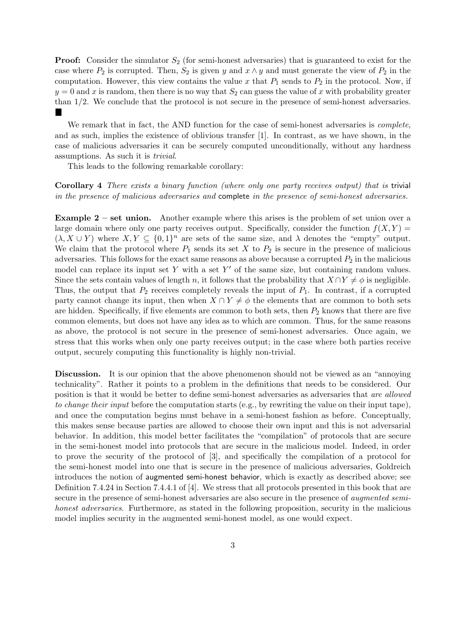**Proof:** Consider the simulator  $S_2$  (for semi-honest adversaries) that is guaranteed to exist for the case where  $P_2$  is corrupted. Then,  $S_2$  is given  $y$  and  $x \wedge y$  and must generate the view of  $P_2$  in the computation. However, this view contains the value  $x$  that  $P_1$  sends to  $P_2$  in the protocol. Now, if  $y = 0$  and *x* is random, then there is no way that  $S_2$  can guess the value of *x* with probability greater than 1*/*2. We conclude that the protocol is not secure in the presence of semi-honest adversaries. **The Second Service** 

We remark that in fact, the AND function for the case of semi-honest adversaries is *complete*, and as such, implies the existence of oblivious transfer [1]. In contrast, as we have shown, in the case of malicious adversaries it can be securely computed unconditionally, without any hardness assumptions. As such it is *trivial*.

This leads to the following remarkable corollary:

**Corollary 4** *There exists a binary function (where only one party receives output) that is* trivial *in the presence of malicious adversaries and* complete *in the presence of semi-honest adversaries.*

**Example 2** – set union. Another example where this arises is the problem of set union over a large domain where only one party receives output. Specifically, consider the function  $f(X, Y) =$  $(\lambda, X \cup Y)$  where  $X, Y \subseteq \{0,1\}^n$  are sets of the same size, and  $\lambda$  denotes the "empty" output. We claim that the protocol where  $P_1$  sends its set  $X$  to  $P_2$  is secure in the presence of malicious adversaries. This follows for the exact same reasons as above because a corrupted  $P_2$  in the malicious model can replace its input set Y with a set Y' of the same size, but containing random values. Since the sets contain values of length *n*, it follows that the probability that  $X \cap Y \neq \emptyset$  is negligible. Thus, the output that  $P_2$  receives completely reveals the input of  $P_1$ . In contrast, if a corrupted party cannot change its input, then when  $X \cap Y \neq \phi$  the elements that are common to both sets are hidden. Specifically, if five elements are common to both sets, then *P*<sup>2</sup> knows that there are five common elements, but does not have any idea as to which are common. Thus, for the same reasons as above, the protocol is not secure in the presence of semi-honest adversaries. Once again, we stress that this works when only one party receives output; in the case where both parties receive output, securely computing this functionality is highly non-trivial.

**Discussion.** It is our opinion that the above phenomenon should not be viewed as an "annoying" technicality". Rather it points to a problem in the definitions that needs to be considered. Our position is that it would be better to define semi-honest adversaries as adversaries that *are allowed to change their input* before the computation starts (e.g., by rewriting the value on their input tape), and once the computation begins must behave in a semi-honest fashion as before. Conceptually, this makes sense because parties are allowed to choose their own input and this is not adversarial behavior. In addition, this model better facilitates the "compilation" of protocols that are secure in the semi-honest model into protocols that are secure in the malicious model. Indeed, in order to prove the security of the protocol of [3], and specifically the compilation of a protocol for the semi-honest model into one that is secure in the presence of malicious adversaries, Goldreich introduces the notion of augmented semi-honest behavior, which is exactly as described above; see Definition 7.4.24 in Section 7.4.4.1 of [4]. We stress that all protocols presented in this book that are secure in the presence of semi-honest adversaries are also secure in the presence of *augmented semihonest adversaries*. Furthermore, as stated in the following proposition, security in the malicious model implies security in the augmented semi-honest model, as one would expect.